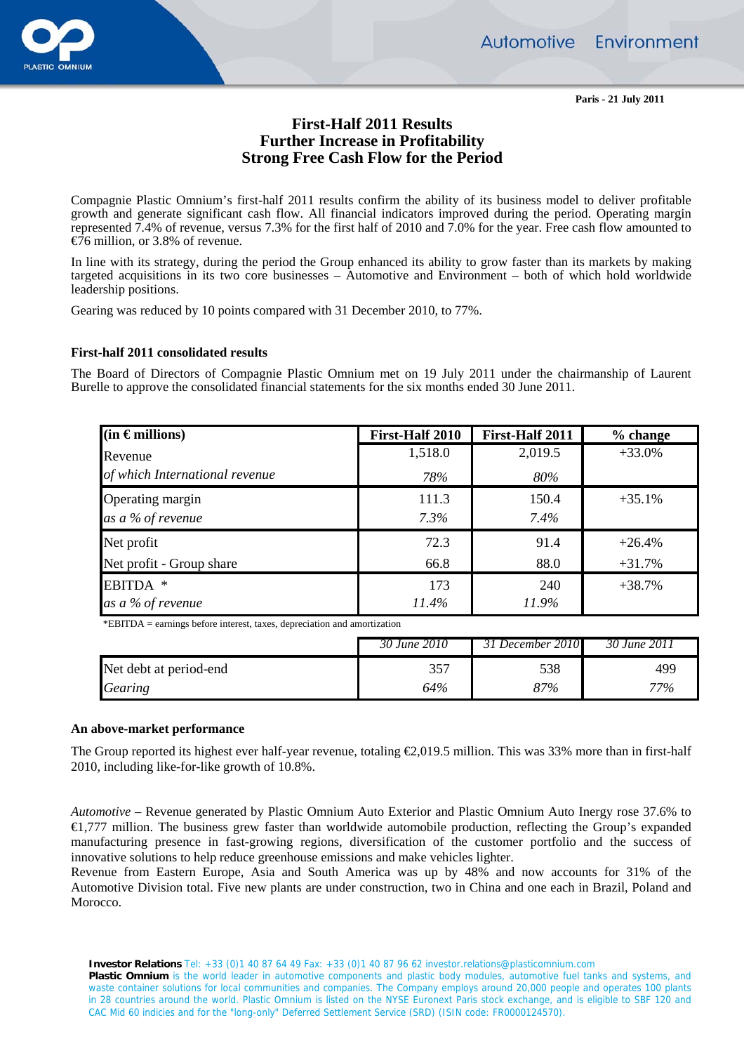

**Paris - 21 July 2011** 

# **First-Half 2011 Results Further Increase in Profitability Strong Free Cash Flow for the Period**

Compagnie Plastic Omnium's first-half 2011 results confirm the ability of its business model to deliver profitable growth and generate significant cash flow. All financial indicators improved during the period. Operating margin represented 7.4% of revenue, versus 7.3% for the first half of 2010 and 7.0% for the year. Free cash flow amounted to €76 million, or 3.8% of revenue.

In line with its strategy, during the period the Group enhanced its ability to grow faster than its markets by making targeted acquisitions in its two core businesses – Automotive and Environment – both of which hold worldwide leadership positions.

Gearing was reduced by 10 points compared with 31 December 2010, to 77%.

## **First-half 2011 consolidated results**

The Board of Directors of Compagnie Plastic Omnium met on 19 July 2011 under the chairmanship of Laurent Burelle to approve the consolidated financial statements for the six months ended 30 June 2011.

| $(in$ $\in$ millions)          | First-Half 2010 | First-Half 2011 | % change |
|--------------------------------|-----------------|-----------------|----------|
| Revenue                        | 1,518.0         | 2,019.5         | $+33.0%$ |
| of which International revenue | 78%             | 80%             |          |
| Operating margin               | 111.3           | 150.4           | $+35.1%$ |
| as a % of revenue              | 7.3%            | 7.4%            |          |
| Net profit                     | 72.3            | 91.4            | $+26.4%$ |
| Net profit - Group share       | 66.8            | 88.0            | $+31.7%$ |
| EBITDA *                       | 173             | 240             | $+38.7%$ |
| as a % of revenue              | 11.4%           | 11.9%           |          |

\*EBITDA = earnings before interest, taxes, depreciation and amortization

|                        | 30 June 2010 | 31 December 2010 | 30 June 2011 |
|------------------------|--------------|------------------|--------------|
| Net debt at period-end | 357          | 538              | 49¢          |
| Gearing                | 64%          | 87%              | 77%          |

### **An above-market performance**

The Group reported its highest ever half-year revenue, totaling  $\epsilon 2.019.5$  million. This was 33% more than in first-half 2010, including like-for-like growth of 10.8%.

*Automotive –* Revenue generated by Plastic Omnium Auto Exterior and Plastic Omnium Auto Inergy rose 37.6% to €1,777 million. The business grew faster than worldwide automobile production, reflecting the Group's expanded manufacturing presence in fast-growing regions, diversification of the customer portfolio and the success of innovative solutions to help reduce greenhouse emissions and make vehicles lighter.

Revenue from Eastern Europe, Asia and South America was up by 48% and now accounts for 31% of the Automotive Division total. Five new plants are under construction, two in China and one each in Brazil, Poland and Morocco.

 **Investor Relations** Tel: +33 (0)1 40 87 64 49 Fax: +33 (0)1 40 87 96 62 investor.relations@plasticomnium.com

Plastic Omnium is the world leader in automotive components and plastic body modules, automotive fuel tanks and systems, and waste container solutions for local communities and companies. The Company employs around 20,000 people and operates 100 plants in 28 countries around the world. Plastic Omnium is listed on the NYSE Euronext Paris stock exchange, and is eligible to SBF 120 and CAC Mid 60 indicies and for the "long-only" Deferred Settlement Service (SRD) (ISIN code: FR0000124570).